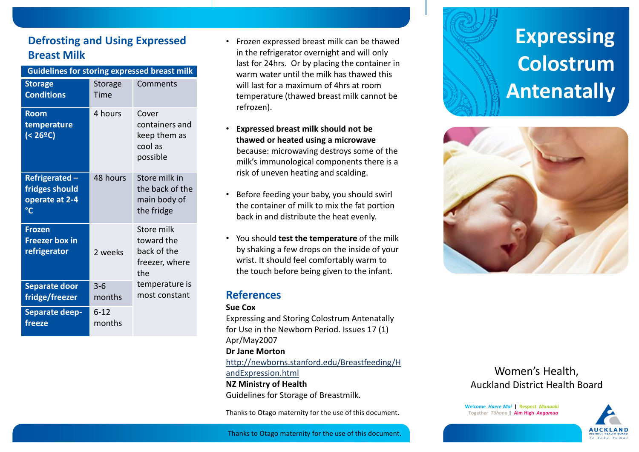# **Defrosting and Using Expressed Breast Milk**

| <b>Guidelines for storing expressed breast milk</b>     |                        |                                                                  |
|---------------------------------------------------------|------------------------|------------------------------------------------------------------|
| <b>Storage</b><br><b>Conditions</b>                     | <b>Storage</b><br>Time | Comments                                                         |
| <b>Room</b><br>temperature<br>(< 26ºC)                  | 4 hours                | Cover<br>containers and<br>keep them as<br>cool as<br>possible   |
| Refrigerated-<br>fridges should<br>operate at 2-4<br>°C | 48 hours               | Store milk in<br>the back of the<br>main body of<br>the fridge   |
| <b>Frozen</b><br><b>Freezer box in</b><br>refrigerator  | 2 weeks                | Store milk<br>toward the<br>back of the<br>freezer, where<br>the |
| <b>Separate door</b><br>fridge/freezer                  | $3-6$<br>months        | temperature is<br>most constant                                  |
| Separate deep-<br>freeze                                | $6 - 12$<br>months     |                                                                  |

- Frozen expressed breast milk can be thawed in the refrigerator overnight and will only last for 24hrs. Or by placing the container in warm water until the milk has thawed this will last for a maximum of 4hrs at room temperature (thawed breast milk cannot be refrozen).
- **Expressed breast milk should not be thawed or heated using a microwave** because: microwaving destroys some of the milk's immunological components there is a risk of uneven heating and scalding.
- Before feeding your baby, you should swirl the container of milk to mix the fat portion back in and distribute the heat evenly.
- You should **test the temperature** of the milk by shaking a few drops on the inside of your wrist. It should feel comfortably warm to the touch before being given to the infant.

## **References**

#### **Sue Cox**

Expressing and Storing Colostrum Antenatally for Use in the Newborn Period. Issues 17 (1) Apr/May2007

#### **Dr Jane Morton**

[http://newborns.stanford.edu/Breastfeeding/H](http://newborns.stanford.edu/Breastfeeding/HandExpression.html) [andExpression.html](http://newborns.stanford.edu/Breastfeeding/HandExpression.html) **NZ Ministry of Health** Guidelines for Storage of Breastmilk.

Thanks to Otago maternity for the use of this document.

# **Expressing Colostrum Antenatally**



# Women's Health, Auckland District Health Board

**Welcome** *Haere Mai* **| Respect** *Manaaki* **Together** *Tūhono* **| Aim High** *Angamua*